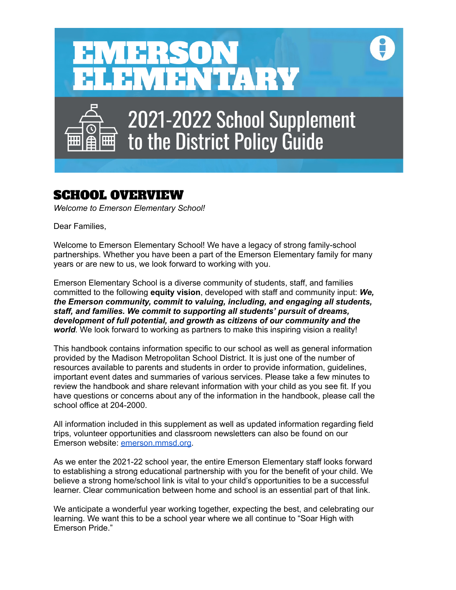

# SCHOOL OVERVIEW

*Welcome to Emerson Elementary School!*

Dear Families,

Welcome to Emerson Elementary School! We have a legacy of strong family-school partnerships. Whether you have been a part of the Emerson Elementary family for many years or are new to us, we look forward to working with you.

Emerson Elementary School is a diverse community of students, staff, and families committed to the following **equity vision**, developed with staff and community input: *We, the Emerson community, commit to valuing, including, and engaging all students, staff, and families. We commit to supporting all students' pursuit of dreams, development of full potential, and growth as citizens of our community and the world.* We look forward to working as partners to make this inspiring vision a reality!

This handbook contains information specific to our school as well as general information provided by the Madison Metropolitan School District. It is just one of the number of resources available to parents and students in order to provide information, guidelines, important event dates and summaries of various services. Please take a few minutes to review the handbook and share relevant information with your child as you see fit. If you have questions or concerns about any of the information in the handbook, please call the school office at 204-2000.

All information included in this supplement as well as updated information regarding field trips, volunteer opportunities and classroom newsletters can also be found on our Emerson website: [emerson.mmsd.org](https://emerson.madison.k12.wi.us).

As we enter the 2021-22 school year, the entire Emerson Elementary staff looks forward to establishing a strong educational partnership with you for the benefit of your child. We believe a strong home/school link is vital to your child's opportunities to be a successful learner. Clear communication between home and school is an essential part of that link.

We anticipate a wonderful year working together, expecting the best, and celebrating our learning. We want this to be a school year where we all continue to "Soar High with Emerson Pride."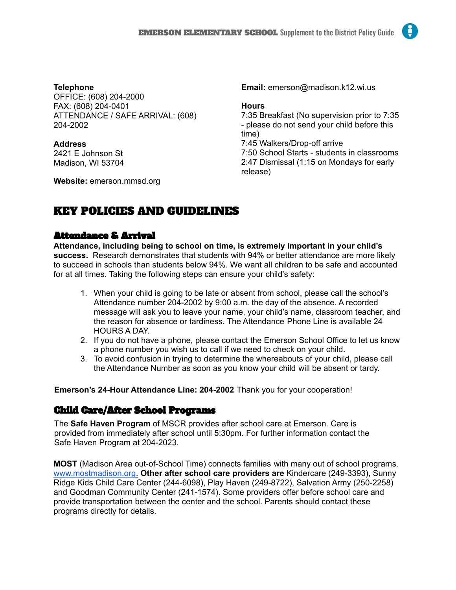#### **Telephone** OFFICE: (608) 204-2000 FAX: (608) 204-0401 ATTENDANCE / SAFE ARRIVAL: (608) 204-2002

#### **Address**

2421 E Johnson St Madison, WI 53704

**Website:** emerson.mmsd.org

**Email:** emerson@madison.k12.wi.us

#### **Hours**

7:35 Breakfast (No supervision prior to 7:35 - please do not send your child before this time) 7:45 Walkers/Drop-off arrive 7:50 School Starts - students in classrooms 2:47 Dismissal (1:15 on Mondays for early release)

# KEY POLICIES AND GUIDELINES

# Attendance & Arrival

**Attendance, including being to school on time, is extremely important in your child's success.** Research demonstrates that students with 94% or better attendance are more likely to succeed in schools than students below 94%. We want all children to be safe and accounted for at all times. Taking the following steps can ensure your child's safety:

- 1. When your child is going to be late or absent from school, please call the school's Attendance number 204-2002 by 9:00 a.m. the day of the absence. A recorded message will ask you to leave your name, your child's name, classroom teacher, and the reason for absence or tardiness. The Attendance Phone Line is available 24 HOURS A DAY.
- 2. If you do not have a phone, please contact the Emerson School Office to let us know a phone number you wish us to call if we need to check on your child.
- 3. To avoid confusion in trying to determine the whereabouts of your child, please call the Attendance Number as soon as you know your child will be absent or tardy.

**Emerson's 24-Hour Attendance Line: 204-2002** Thank you for your cooperation!

# Child Care/After School Programs

The **Safe Haven Program** of MSCR provides after school care at Emerson. Care is provided from immediately after school until 5:30pm. For further information contact the Safe Haven Program at 204-2023.

**MOST** (Madison Area out-of-School Time) connects families with many out of school programs. www.mostmadison.org. **Other after school care providers are** Kindercare (249-3393), Sunny Ridge Kids Child Care Center (244-6098), Play Haven (249-8722), Salvation Army (250-2258) and Goodman Community Center (241-1574). Some providers offer before school care and provide transportation between the center and the school. Parents should contact these programs directly for details.

H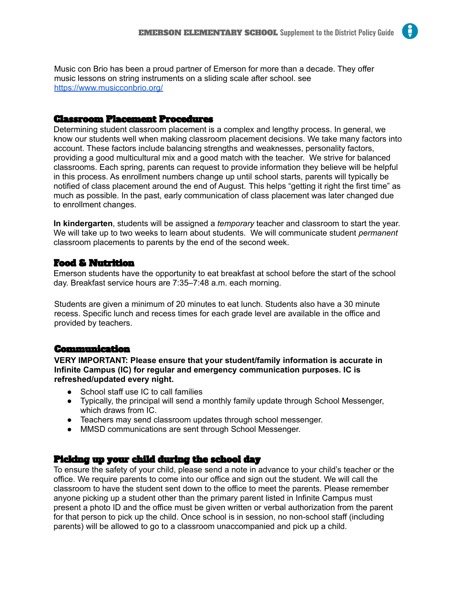Music con Brio has been a proud partner of Emerson for more than a decade. They offer music lessons on string instruments on a sliding scale after school. see https://www.musicconbrio.org/

#### Classroom Placement Procedures

Determining student classroom placement is a complex and lengthy process. In general, we know our students well when making classroom placement decisions. We take many factors into account. These factors include balancing strengths and weaknesses, personality factors, providing a good multicultural mix and a good match with the teacher. We strive for balanced classrooms. Each spring, parents can request to provide information they believe will be helpful in this process. As enrollment numbers change up until school starts, parents will typically be notified of class placement around the end of August. This helps "getting it right the first time" as much as possible. In the past, early communication of class placement was later changed due to enrollment changes.

**In kindergarten**, students will be assigned a *temporary* teacher and classroom to start the year. We will take up to two weeks to learn about students. We will communicate student *permanent* classroom placements to parents by the end of the second week.

# Food & Nutrition

Emerson students have the opportunity to eat breakfast at school before the start of the school day. Breakfast service hours are 7:35–7:48 a.m. each morning.

Students are given a minimum of 20 minutes to eat lunch. Students also have a 30 minute recess. Specific lunch and recess times for each grade level are available in the office and provided by teachers.

#### Communication

**VERY IMPORTANT: Please ensure that your student/family information is accurate in Infinite Campus (IC) for regular and emergency communication purposes. IC is refreshed/updated every night.**

- School staff use IC to call families
- Typically, the principal will send a monthly family update through School Messenger, which draws from IC.
- Teachers may send classroom updates through school messenger.
- MMSD communications are sent through School Messenger.

# Picking up your child during the school day

To ensure the safety of your child, please send a note in advance to your child's teacher or the office. We require parents to come into our office and sign out the student. We will call the classroom to have the student sent down to the office to meet the parents. Please remember anyone picking up a student other than the primary parent listed in Infinite Campus must present a photo ID and the office must be given written or verbal authorization from the parent for that person to pick up the child. Once school is in session, no non-school staff (including parents) will be allowed to go to a classroom unaccompanied and pick up a child.

H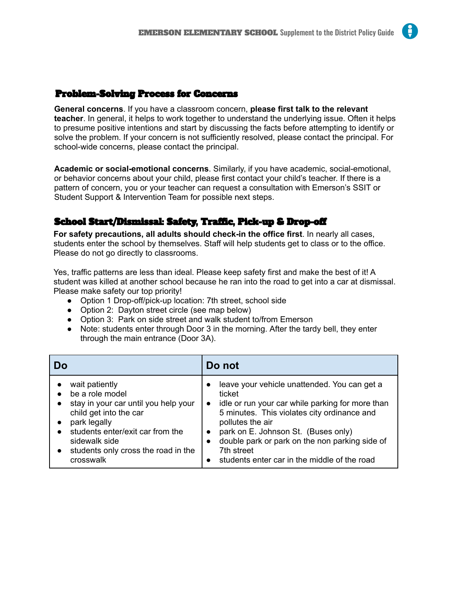# Problem-Solving Process for Concerns

**General concerns**. If you have a classroom concern, **please first talk to the relevant teacher**. In general, it helps to work together to understand the underlying issue. Often it helps to presume positive intentions and start by discussing the facts before attempting to identify or solve the problem. If your concern is not sufficiently resolved, please contact the principal. For school-wide concerns, please contact the principal.

**Academic or social-emotional concerns**. Similarly, if you have academic, social-emotional, or behavior concerns about your child, please first contact your child's teacher. If there is a pattern of concern, you or your teacher can request a consultation with Emerson's SSIT or Student Support & Intervention Team for possible next steps.

# School Start/Dismissal: Safety, Traffic, Pick-up & Drop-off

**For safety precautions, all adults should check-in the office first**. In nearly all cases, students enter the school by themselves. Staff will help students get to class or to the office. Please do not go directly to classrooms.

Yes, traffic patterns are less than ideal. Please keep safety first and make the best of it! A student was killed at another school because he ran into the road to get into a car at dismissal. Please make safety our top priority!

- Option 1 Drop-off/pick-up location: 7th street, school side
- Option 2: Dayton street circle (see map below)
- Option 3: Park on side street and walk student to/from Emerson
- Note: students enter through Door 3 in the morning. After the tardy bell, they enter through the main entrance (Door 3A).

| Dο                                                                                                                                                                                                                           | Do not                                                                                                                                                                                                                                                                                                                                                         |
|------------------------------------------------------------------------------------------------------------------------------------------------------------------------------------------------------------------------------|----------------------------------------------------------------------------------------------------------------------------------------------------------------------------------------------------------------------------------------------------------------------------------------------------------------------------------------------------------------|
| wait patiently<br>be a role model<br>stay in your car until you help your<br>child get into the car<br>park legally<br>students enter/exit car from the<br>sidewalk side<br>students only cross the road in the<br>crosswalk | leave your vehicle unattended. You can get a<br>ticket<br>idle or run your car while parking for more than<br>$\bullet$<br>5 minutes. This violates city ordinance and<br>pollutes the air<br>park on E. Johnson St. (Buses only)<br>double park or park on the non parking side of<br>$\bullet$<br>7th street<br>students enter car in the middle of the road |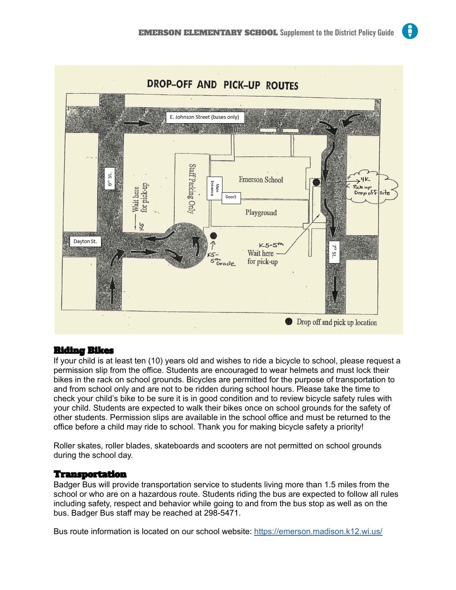

## Riding Bikes

If your child is at least ten (10) years old and wishes to ride a bicycle to school, please request a permission slip from the office. Students are encouraged to wear helmets and must lock their bikes in the rack on school grounds. Bicycles are permitted for the purpose of transportation to and from school only and are not to be ridden during school hours. Please take the time to check your child's bike to be sure it is in good condition and to review bicycle safety rules with your child. Students are expected to walk their bikes once on school grounds for the safety of other students. Permission slips are available in the school office and must be returned to the office before a child may ride to school. Thank you for making bicycle safety a priority!

Roller skates, roller blades, skateboards and scooters are not permitted on school grounds during the school day.

## Transportation

Badger Bus will provide transportation service to students living more than 1.5 miles from the school or who are on a hazardous route. Students riding the bus are expected to follow all rules including safety, respect and behavior while going to and from the bus stop as well as on the bus. Badger Bus staff may be reached at 298-5471.

Bus route information is located on our school website: <https://emerson.madison.k12.wi.us/>